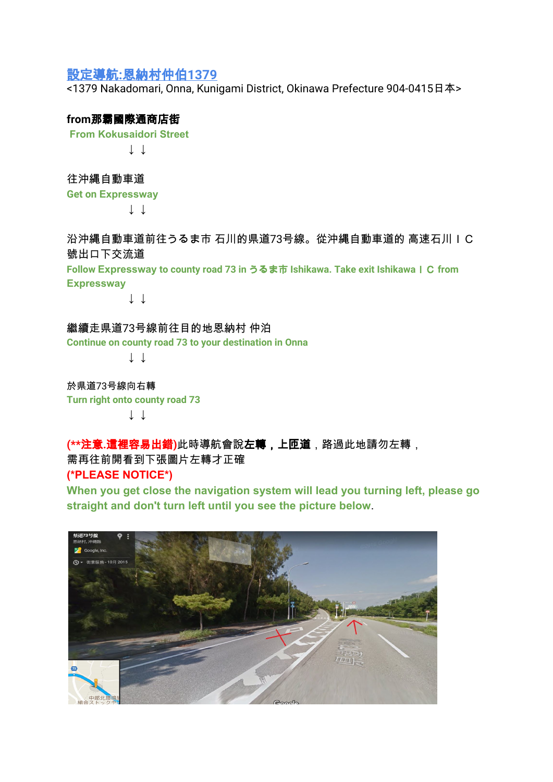## 設定導航**:**恩納村仲伯**1379**

<1379 Nakadomari, Onna, Kunigami District, Okinawa Prefecture 904-0415日本>

## **from**那霸國際通商店街

**From Kokusaidori Street**

**↓ ↓**

往沖縄自動車道 **Get on Expressway**

↓ ↓

沿沖縄自動車道前往うるま市 石川的県道73号線。從沖縄自動車道的 高速石川IC 號出口下交流道

**Follow Expressway to county road 73 in** うるま市 **Ishikawa. Take exit Ishikawa**IC **from Expressway**

↓ ↓

繼續走県道73号線前往目的地恩納村 仲泊 **Continue on county road 73 to your destination in Onna**

↓ ↓

於県道73号線向右轉 **Turn right onto county road 73** ↓ ↓

**(\*\***注意**.**這裡容易出錯**)**此時導航會說左轉,上匝道,路過此地請勿左轉, 需再往前開看到下張圖片左轉才正確

**(\*PLEASE NOTICE\*)**

**When you get close the navigation system will lead you turning left, please go straight and don't turn left until you see the picture below**.